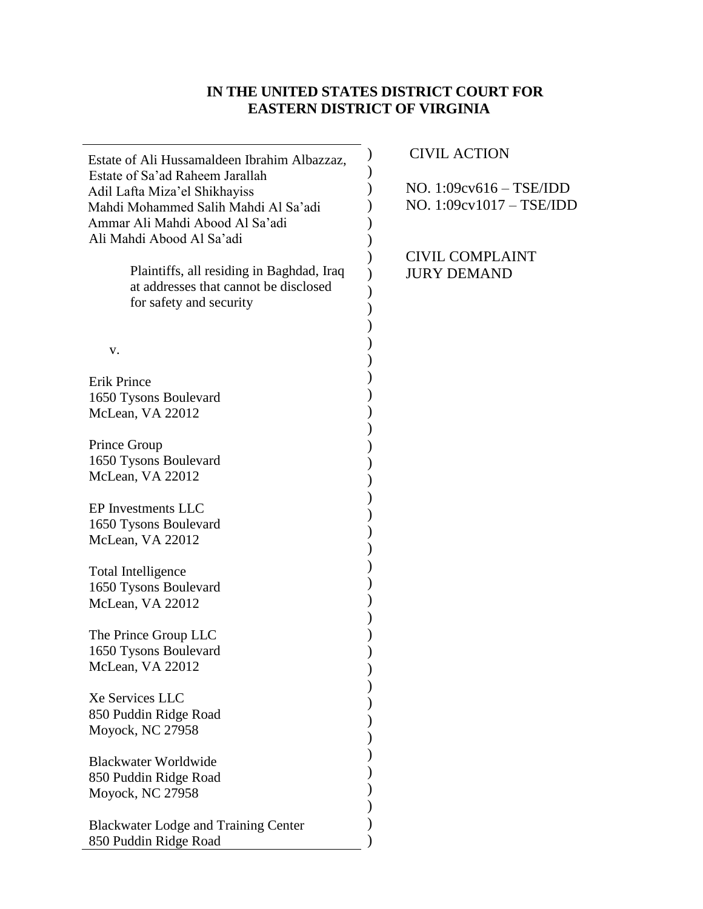# **IN THE UNITED STATES DISTRICT COURT FOR EASTERN DISTRICT OF VIRGINIA**

| Estate of Ali Hussamaldeen Ibrahim Albazzaz, | <b>CIVIL ACTION</b>       |
|----------------------------------------------|---------------------------|
| Estate of Sa'ad Raheem Jarallah              |                           |
| Adil Lafta Miza'el Shikhayiss                | NO. $1:09cv616 - TSE/IDD$ |
| Mahdi Mohammed Salih Mahdi Al Sa'adi         | NO. 1:09cv1017 - TSE/IDD  |
| Ammar Ali Mahdi Abood Al Sa'adi              |                           |
| Ali Mahdi Abood Al Sa'adi                    |                           |
|                                              | <b>CIVIL COMPLAINT</b>    |
| Plaintiffs, all residing in Baghdad, Iraq    | <b>JURY DEMAND</b>        |
| at addresses that cannot be disclosed        |                           |
| for safety and security                      |                           |
|                                              |                           |
|                                              |                           |
| V.                                           |                           |
|                                              |                           |
| <b>Erik Prince</b>                           |                           |
| 1650 Tysons Boulevard                        |                           |
| McLean, VA 22012                             |                           |
|                                              |                           |
| Prince Group                                 |                           |
| 1650 Tysons Boulevard                        |                           |
| McLean, VA 22012                             |                           |
| EP Investments LLC                           |                           |
| 1650 Tysons Boulevard                        |                           |
| McLean, VA 22012                             |                           |
|                                              |                           |
| <b>Total Intelligence</b>                    |                           |
| 1650 Tysons Boulevard                        |                           |
| McLean, VA 22012                             |                           |
|                                              |                           |
| The Prince Group LLC                         |                           |
| 1650 Tysons Boulevard                        |                           |
| McLean, VA 22012                             |                           |
|                                              |                           |
| Xe Services LLC                              |                           |
| 850 Puddin Ridge Road                        |                           |
| Moyock, NC 27958                             |                           |
|                                              |                           |
| <b>Blackwater Worldwide</b>                  |                           |
| 850 Puddin Ridge Road                        |                           |
| Moyock, NC 27958                             |                           |
|                                              |                           |
| <b>Blackwater Lodge and Training Center</b>  |                           |
| 850 Puddin Ridge Road                        |                           |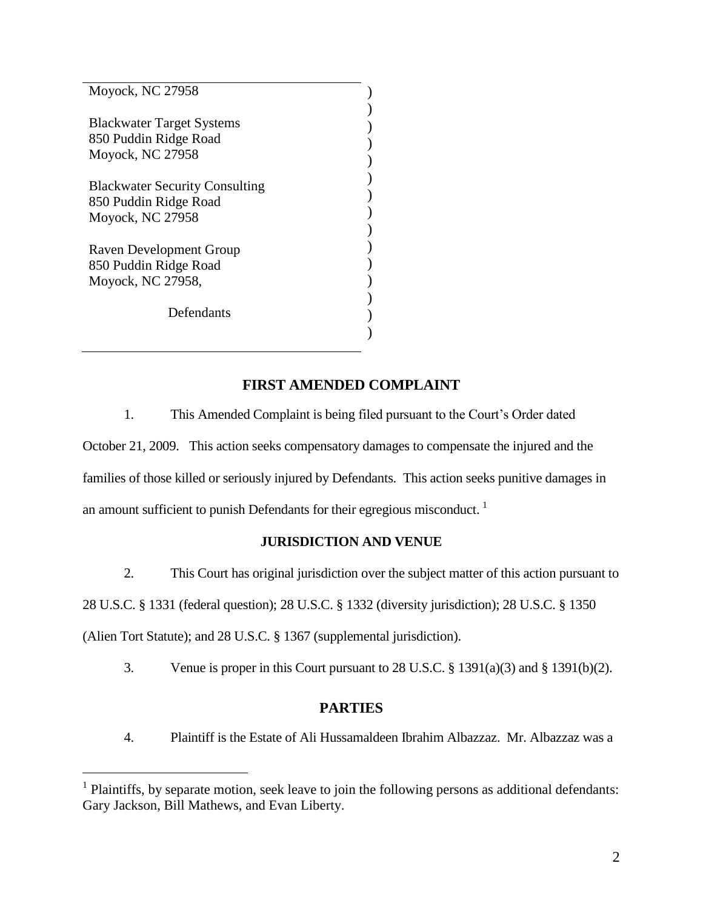| Moyock, NC 27958                                                                   |  |
|------------------------------------------------------------------------------------|--|
| <b>Blackwater Target Systems</b><br>850 Puddin Ridge Road<br>Moyock, NC 27958      |  |
| <b>Blackwater Security Consulting</b><br>850 Puddin Ridge Road<br>Moyock, NC 27958 |  |
| Raven Development Group<br>850 Puddin Ridge Road<br>Moyock, NC 27958,              |  |
| Defendants                                                                         |  |

# **FIRST AMENDED COMPLAINT**

1. This Amended Complaint is being filed pursuant to the Court's Order dated October 21, 2009. This action seeks compensatory damages to compensate the injured and the families of those killed or seriously injured by Defendants. This action seeks punitive damages in an amount sufficient to punish Defendants for their egregious misconduct.  $\frac{1}{1}$ 

#### **JURISDICTION AND VENUE**

2. This Court has original jurisdiction over the subject matter of this action pursuant to

28 U.S.C. § 1331 (federal question); 28 U.S.C. § 1332 (diversity jurisdiction); 28 U.S.C. § 1350

(Alien Tort Statute); and 28 U.S.C. § 1367 (supplemental jurisdiction).

 $\overline{a}$ 

3. Venue is proper in this Court pursuant to 28 U.S.C. § 1391(a)(3) and § 1391(b)(2).

## **PARTIES**

4. Plaintiff is the Estate of Ali Hussamaldeen Ibrahim Albazzaz. Mr. Albazzaz was a

 $<sup>1</sup>$  Plaintiffs, by separate motion, seek leave to join the following persons as additional defendants:</sup> Gary Jackson, Bill Mathews, and Evan Liberty.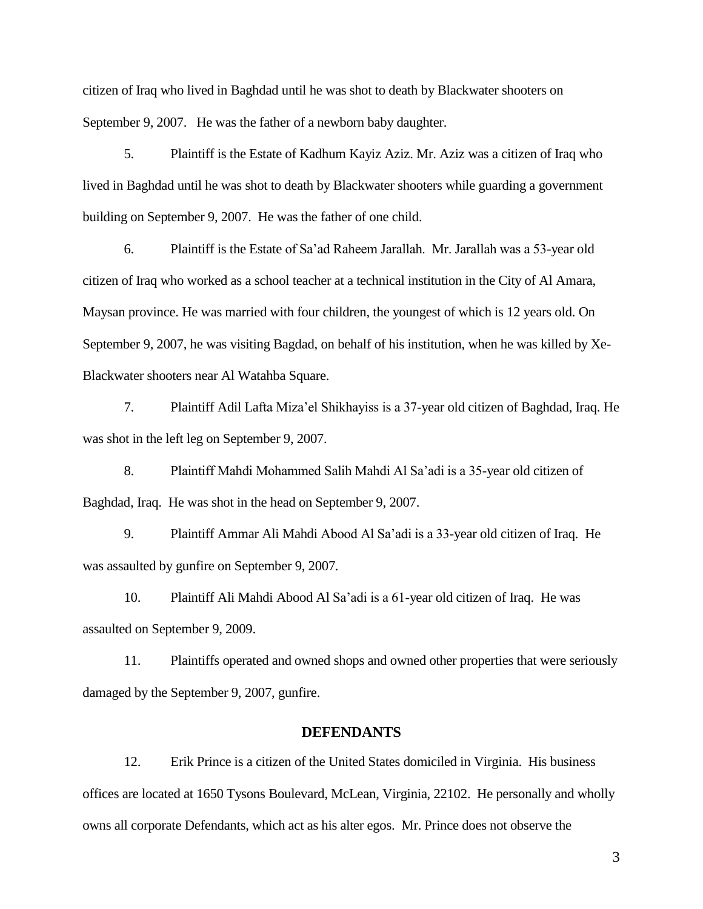citizen of Iraq who lived in Baghdad until he was shot to death by Blackwater shooters on September 9, 2007. He was the father of a newborn baby daughter.

5. Plaintiff is the Estate of Kadhum Kayiz Aziz. Mr. Aziz was a citizen of Iraq who lived in Baghdad until he was shot to death by Blackwater shooters while guarding a government building on September 9, 2007. He was the father of one child.

6. Plaintiff is the Estate of Sa'ad Raheem Jarallah. Mr. Jarallah was a 53-year old citizen of Iraq who worked as a school teacher at a technical institution in the City of Al Amara, Maysan province. He was married with four children, the youngest of which is 12 years old. On September 9, 2007, he was visiting Bagdad, on behalf of his institution, when he was killed by Xe-Blackwater shooters near Al Watahba Square.

7. Plaintiff Adil Lafta Miza'el Shikhayiss is a 37-year old citizen of Baghdad, Iraq. He was shot in the left leg on September 9, 2007.

8. Plaintiff Mahdi Mohammed Salih Mahdi Al Sa'adi is a 35-year old citizen of Baghdad, Iraq. He was shot in the head on September 9, 2007.

9. Plaintiff Ammar Ali Mahdi Abood Al Sa'adi is a 33-year old citizen of Iraq. He was assaulted by gunfire on September 9, 2007.

10. Plaintiff Ali Mahdi Abood Al Sa'adi is a 61-year old citizen of Iraq. He was assaulted on September 9, 2009.

11. Plaintiffs operated and owned shops and owned other properties that were seriously damaged by the September 9, 2007, gunfire.

#### **DEFENDANTS**

12. Erik Prince is a citizen of the United States domiciled in Virginia. His business offices are located at 1650 Tysons Boulevard, McLean, Virginia, 22102. He personally and wholly owns all corporate Defendants, which act as his alter egos. Mr. Prince does not observe the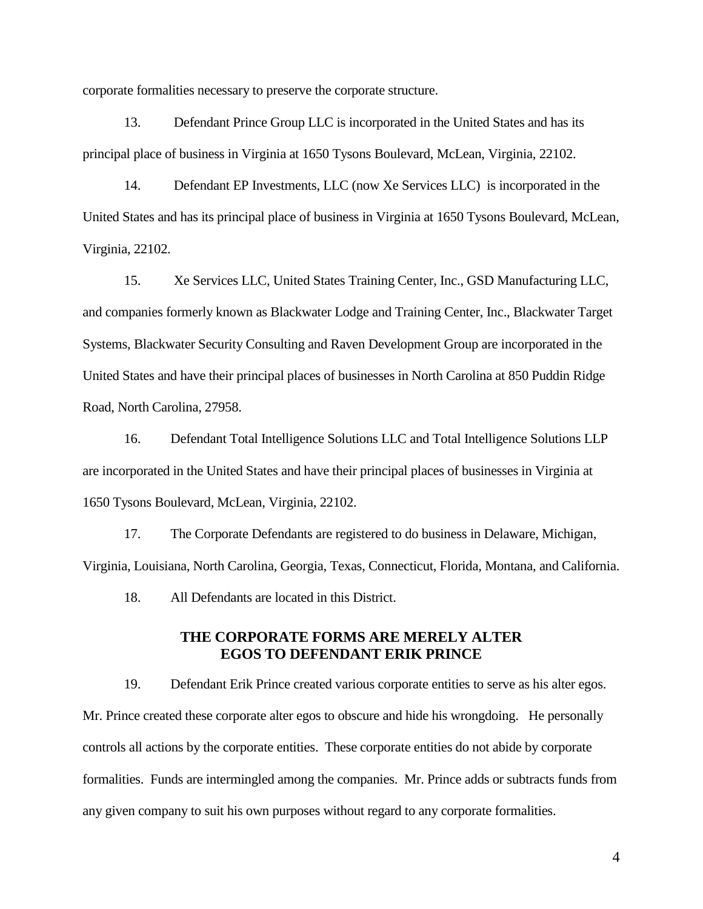corporate formalities necessary to preserve the corporate structure.

13. Defendant Prince Group LLC is incorporated in the United States and has its principal place of business in Virginia at 1650 Tysons Boulevard, McLean, Virginia, 22102.

14. Defendant EP Investments, LLC (now Xe Services LLC) is incorporated in the United States and has its principal place of business in Virginia at 1650 Tysons Boulevard, McLean, Virginia, 22102.

15. Xe Services LLC, United States Training Center, Inc., GSD Manufacturing LLC, and companies formerly known as Blackwater Lodge and Training Center, Inc., Blackwater Target Systems, Blackwater Security Consulting and Raven Development Group are incorporated in the United States and have their principal places of businesses in North Carolina at 850 Puddin Ridge Road, North Carolina, 27958.

16. Defendant Total Intelligence Solutions LLC and Total Intelligence Solutions LLP are incorporated in the United States and have their principal places of businesses in Virginia at 1650 Tysons Boulevard, McLean, Virginia, 22102.

17. The Corporate Defendants are registered to do business in Delaware, Michigan, Virginia, Louisiana, North Carolina, Georgia, Texas, Connecticut, Florida, Montana, and California.

18. All Defendants are located in this District.

## **THE CORPORATE FORMS ARE MERELY ALTER EGOS TO DEFENDANT ERIK PRINCE**

19. Defendant Erik Prince created various corporate entities to serve as his alter egos. Mr. Prince created these corporate alter egos to obscure and hide his wrongdoing. He personally controls all actions by the corporate entities. These corporate entities do not abide by corporate formalities. Funds are intermingled among the companies. Mr. Prince adds or subtracts funds from any given company to suit his own purposes without regard to any corporate formalities.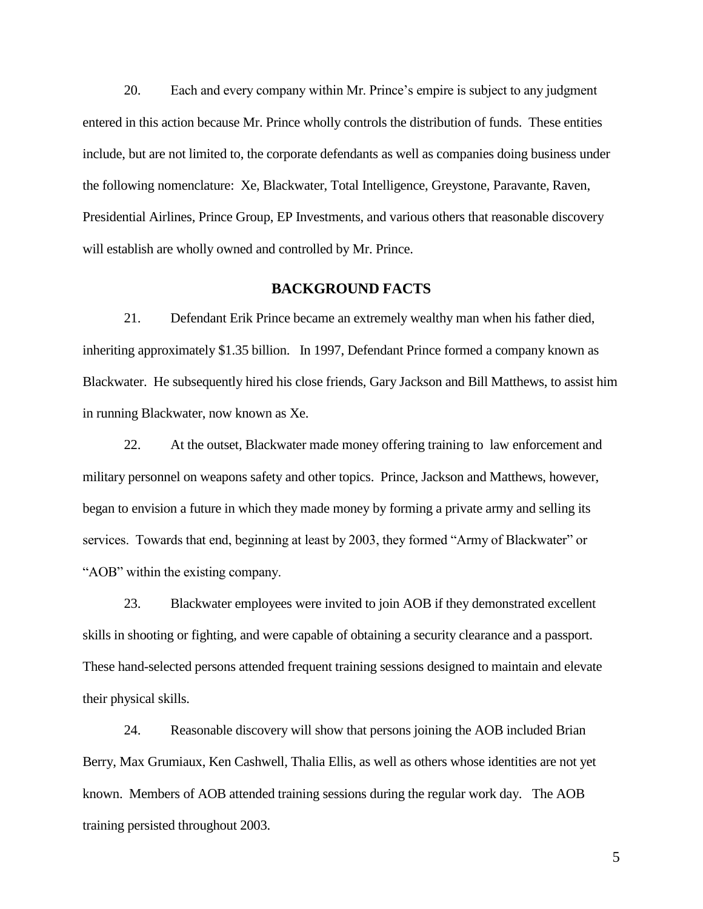20. Each and every company within Mr. Prince's empire is subject to any judgment entered in this action because Mr. Prince wholly controls the distribution of funds. These entities include, but are not limited to, the corporate defendants as well as companies doing business under the following nomenclature: Xe, Blackwater, Total Intelligence, Greystone, Paravante, Raven, Presidential Airlines, Prince Group, EP Investments, and various others that reasonable discovery will establish are wholly owned and controlled by Mr. Prince.

#### **BACKGROUND FACTS**

21. Defendant Erik Prince became an extremely wealthy man when his father died, inheriting approximately \$1.35 billion. In 1997, Defendant Prince formed a company known as Blackwater. He subsequently hired his close friends, Gary Jackson and Bill Matthews, to assist him in running Blackwater, now known as Xe.

22. At the outset, Blackwater made money offering training to law enforcement and military personnel on weapons safety and other topics. Prince, Jackson and Matthews, however, began to envision a future in which they made money by forming a private army and selling its services. Towards that end, beginning at least by 2003, they formed "Army of Blackwater" or "AOB" within the existing company.

23. Blackwater employees were invited to join AOB if they demonstrated excellent skills in shooting or fighting, and were capable of obtaining a security clearance and a passport. These hand-selected persons attended frequent training sessions designed to maintain and elevate their physical skills.

24. Reasonable discovery will show that persons joining the AOB included Brian Berry, Max Grumiaux, Ken Cashwell, Thalia Ellis, as well as others whose identities are not yet known. Members of AOB attended training sessions during the regular work day. The AOB training persisted throughout 2003.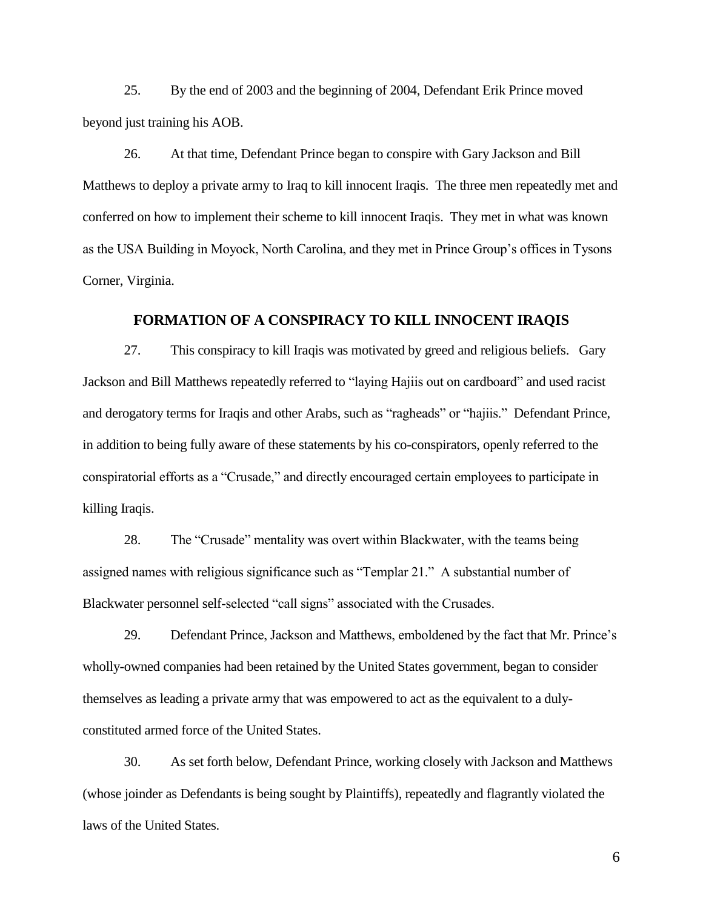25. By the end of 2003 and the beginning of 2004, Defendant Erik Prince moved beyond just training his AOB.

26. At that time, Defendant Prince began to conspire with Gary Jackson and Bill Matthews to deploy a private army to Iraq to kill innocent Iraqis. The three men repeatedly met and conferred on how to implement their scheme to kill innocent Iraqis. They met in what was known as the USA Building in Moyock, North Carolina, and they met in Prince Group's offices in Tysons Corner, Virginia.

#### **FORMATION OF A CONSPIRACY TO KILL INNOCENT IRAQIS**

27. This conspiracy to kill Iraqis was motivated by greed and religious beliefs. Gary Jackson and Bill Matthews repeatedly referred to "laying Hajiis out on cardboard" and used racist and derogatory terms for Iraqis and other Arabs, such as "ragheads" or "hajiis." Defendant Prince, in addition to being fully aware of these statements by his co-conspirators, openly referred to the conspiratorial efforts as a "Crusade," and directly encouraged certain employees to participate in killing Iraqis.

28. The "Crusade" mentality was overt within Blackwater, with the teams being assigned names with religious significance such as "Templar 21." A substantial number of Blackwater personnel self-selected "call signs" associated with the Crusades.

29. Defendant Prince, Jackson and Matthews, emboldened by the fact that Mr. Prince's wholly-owned companies had been retained by the United States government, began to consider themselves as leading a private army that was empowered to act as the equivalent to a dulyconstituted armed force of the United States.

30. As set forth below, Defendant Prince, working closely with Jackson and Matthews (whose joinder as Defendants is being sought by Plaintiffs), repeatedly and flagrantly violated the laws of the United States.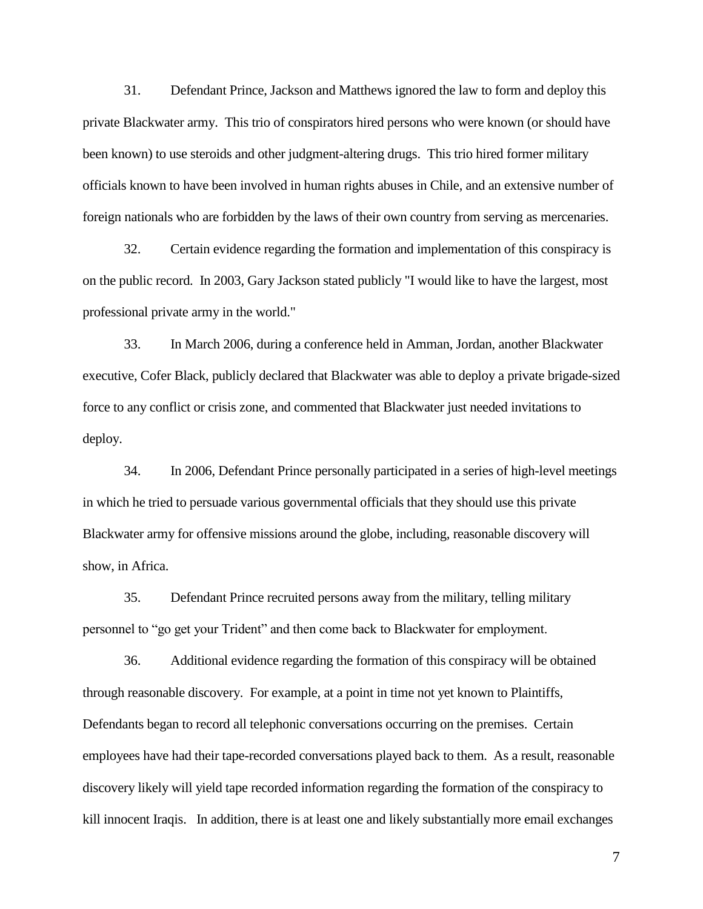31. Defendant Prince, Jackson and Matthews ignored the law to form and deploy this private Blackwater army. This trio of conspirators hired persons who were known (or should have been known) to use steroids and other judgment-altering drugs. This trio hired former military officials known to have been involved in human rights abuses in Chile, and an extensive number of foreign nationals who are forbidden by the laws of their own country from serving as mercenaries.

32. Certain evidence regarding the formation and implementation of this conspiracy is on the public record. In 2003, Gary Jackson stated publicly "I would like to have the largest, most professional private army in the world."

33. In March 2006, during a conference held in Amman, Jordan, another Blackwater executive, Cofer Black, publicly declared that Blackwater was able to deploy a private brigade-sized force to any conflict or crisis zone, and commented that Blackwater just needed invitations to deploy.

34. In 2006, Defendant Prince personally participated in a series of high-level meetings in which he tried to persuade various governmental officials that they should use this private Blackwater army for offensive missions around the globe, including, reasonable discovery will show, in Africa.

35. Defendant Prince recruited persons away from the military, telling military personnel to "go get your Trident" and then come back to Blackwater for employment.

36. Additional evidence regarding the formation of this conspiracy will be obtained through reasonable discovery. For example, at a point in time not yet known to Plaintiffs, Defendants began to record all telephonic conversations occurring on the premises. Certain employees have had their tape-recorded conversations played back to them. As a result, reasonable discovery likely will yield tape recorded information regarding the formation of the conspiracy to kill innocent Iraqis. In addition, there is at least one and likely substantially more email exchanges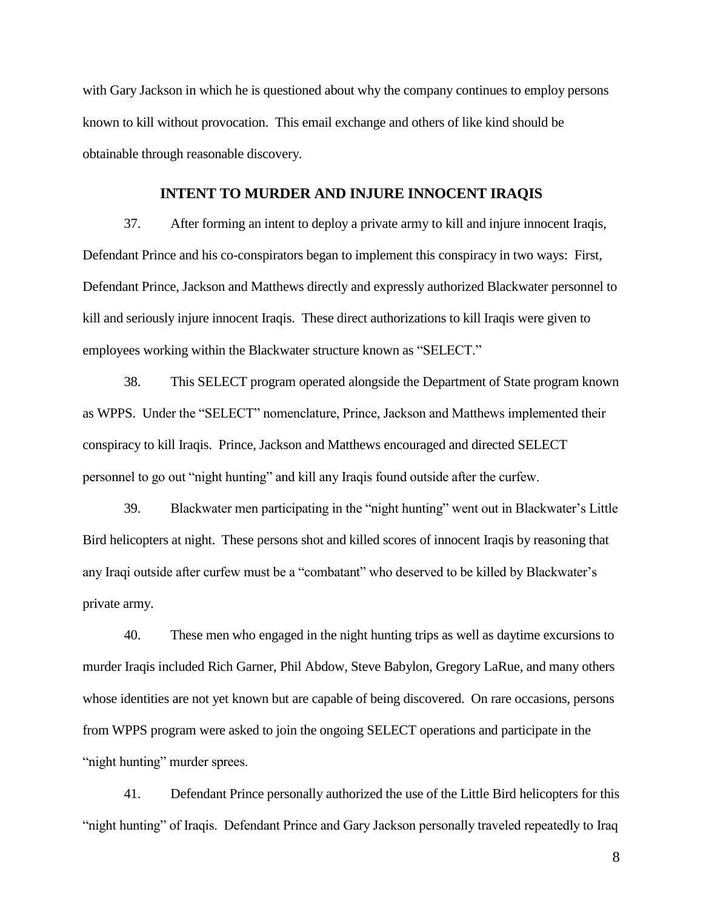with Gary Jackson in which he is questioned about why the company continues to employ persons known to kill without provocation. This email exchange and others of like kind should be obtainable through reasonable discovery.

#### **INTENT TO MURDER AND INJURE INNOCENT IRAQIS**

37. After forming an intent to deploy a private army to kill and injure innocent Iraqis, Defendant Prince and his co-conspirators began to implement this conspiracy in two ways: First, Defendant Prince, Jackson and Matthews directly and expressly authorized Blackwater personnel to kill and seriously injure innocent Iraqis. These direct authorizations to kill Iraqis were given to employees working within the Blackwater structure known as "SELECT."

38. This SELECT program operated alongside the Department of State program known as WPPS. Under the "SELECT" nomenclature, Prince, Jackson and Matthews implemented their conspiracy to kill Iraqis. Prince, Jackson and Matthews encouraged and directed SELECT personnel to go out "night hunting" and kill any Iraqis found outside after the curfew.

39. Blackwater men participating in the "night hunting" went out in Blackwater's Little Bird helicopters at night. These persons shot and killed scores of innocent Iraqis by reasoning that any Iraqi outside after curfew must be a "combatant" who deserved to be killed by Blackwater's private army.

40. These men who engaged in the night hunting trips as well as daytime excursions to murder Iraqis included Rich Garner, Phil Abdow, Steve Babylon, Gregory LaRue, and many others whose identities are not yet known but are capable of being discovered. On rare occasions, persons from WPPS program were asked to join the ongoing SELECT operations and participate in the "night hunting" murder sprees.

41. Defendant Prince personally authorized the use of the Little Bird helicopters for this "night hunting" of Iraqis. Defendant Prince and Gary Jackson personally traveled repeatedly to Iraq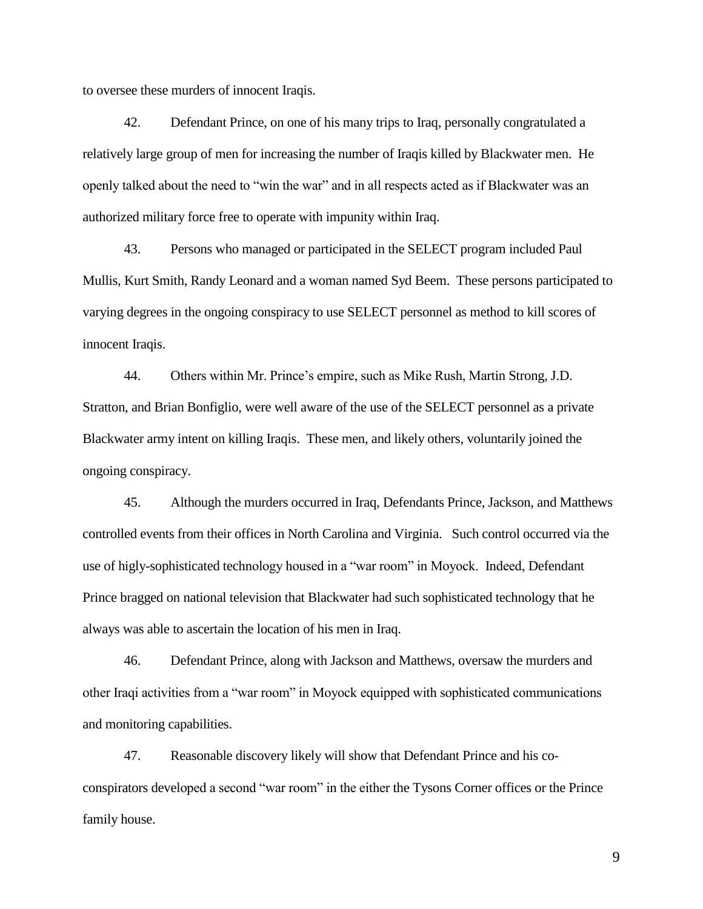to oversee these murders of innocent Iraqis.

42. Defendant Prince, on one of his many trips to Iraq, personally congratulated a relatively large group of men for increasing the number of Iraqis killed by Blackwater men. He openly talked about the need to "win the war" and in all respects acted as if Blackwater was an authorized military force free to operate with impunity within Iraq.

43. Persons who managed or participated in the SELECT program included Paul Mullis, Kurt Smith, Randy Leonard and a woman named Syd Beem. These persons participated to varying degrees in the ongoing conspiracy to use SELECT personnel as method to kill scores of innocent Iraqis.

44. Others within Mr. Prince's empire, such as Mike Rush, Martin Strong, J.D. Stratton, and Brian Bonfiglio, were well aware of the use of the SELECT personnel as a private Blackwater army intent on killing Iraqis. These men, and likely others, voluntarily joined the ongoing conspiracy.

45. Although the murders occurred in Iraq, Defendants Prince, Jackson, and Matthews controlled events from their offices in North Carolina and Virginia. Such control occurred via the use of higly-sophisticated technology housed in a "war room" in Moyock. Indeed, Defendant Prince bragged on national television that Blackwater had such sophisticated technology that he always was able to ascertain the location of his men in Iraq.

46. Defendant Prince, along with Jackson and Matthews, oversaw the murders and other Iraqi activities from a "war room" in Moyock equipped with sophisticated communications and monitoring capabilities.

47. Reasonable discovery likely will show that Defendant Prince and his coconspirators developed a second "war room" in the either the Tysons Corner offices or the Prince family house.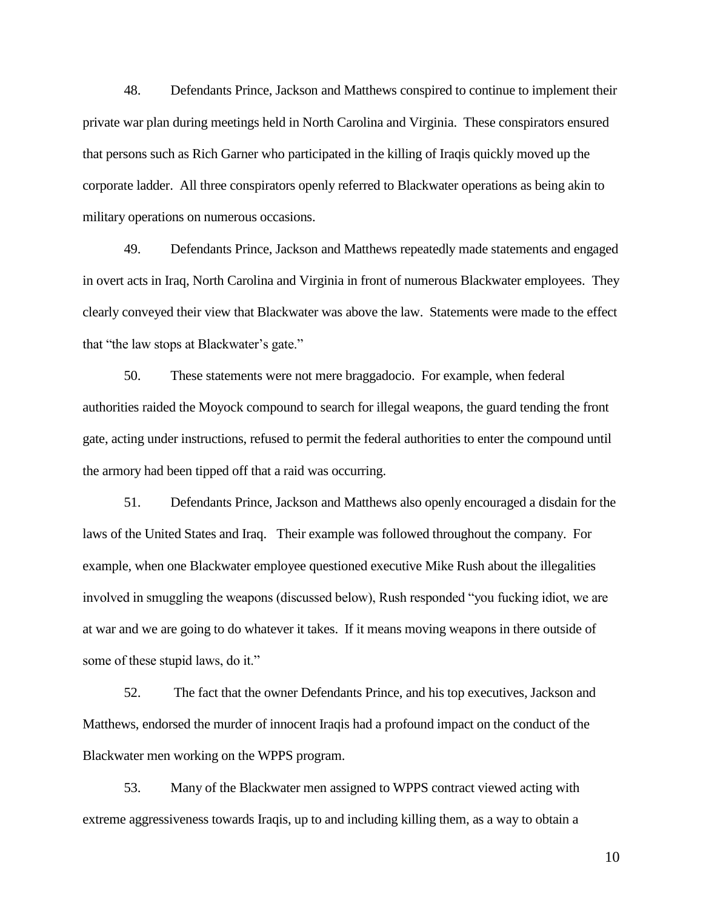48. Defendants Prince, Jackson and Matthews conspired to continue to implement their private war plan during meetings held in North Carolina and Virginia. These conspirators ensured that persons such as Rich Garner who participated in the killing of Iraqis quickly moved up the corporate ladder. All three conspirators openly referred to Blackwater operations as being akin to military operations on numerous occasions.

49. Defendants Prince, Jackson and Matthews repeatedly made statements and engaged in overt acts in Iraq, North Carolina and Virginia in front of numerous Blackwater employees. They clearly conveyed their view that Blackwater was above the law. Statements were made to the effect that "the law stops at Blackwater's gate."

50. These statements were not mere braggadocio. For example, when federal authorities raided the Moyock compound to search for illegal weapons, the guard tending the front gate, acting under instructions, refused to permit the federal authorities to enter the compound until the armory had been tipped off that a raid was occurring.

51. Defendants Prince, Jackson and Matthews also openly encouraged a disdain for the laws of the United States and Iraq. Their example was followed throughout the company. For example, when one Blackwater employee questioned executive Mike Rush about the illegalities involved in smuggling the weapons (discussed below), Rush responded "you fucking idiot, we are at war and we are going to do whatever it takes. If it means moving weapons in there outside of some of these stupid laws, do it."

52. The fact that the owner Defendants Prince, and his top executives, Jackson and Matthews, endorsed the murder of innocent Iraqis had a profound impact on the conduct of the Blackwater men working on the WPPS program.

53. Many of the Blackwater men assigned to WPPS contract viewed acting with extreme aggressiveness towards Iraqis, up to and including killing them, as a way to obtain a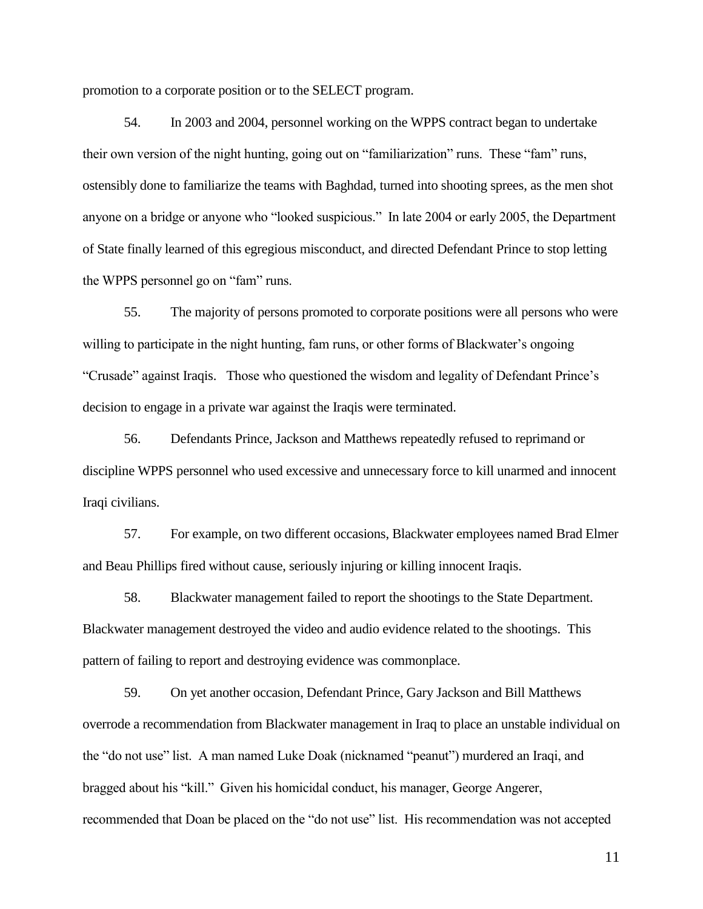promotion to a corporate position or to the SELECT program.

54. In 2003 and 2004, personnel working on the WPPS contract began to undertake their own version of the night hunting, going out on "familiarization" runs. These "fam" runs, ostensibly done to familiarize the teams with Baghdad, turned into shooting sprees, as the men shot anyone on a bridge or anyone who "looked suspicious." In late 2004 or early 2005, the Department of State finally learned of this egregious misconduct, and directed Defendant Prince to stop letting the WPPS personnel go on "fam" runs.

55. The majority of persons promoted to corporate positions were all persons who were willing to participate in the night hunting, fam runs, or other forms of Blackwater's ongoing "Crusade" against Iraqis. Those who questioned the wisdom and legality of Defendant Prince's decision to engage in a private war against the Iraqis were terminated.

56. Defendants Prince, Jackson and Matthews repeatedly refused to reprimand or discipline WPPS personnel who used excessive and unnecessary force to kill unarmed and innocent Iraqi civilians.

57. For example, on two different occasions, Blackwater employees named Brad Elmer and Beau Phillips fired without cause, seriously injuring or killing innocent Iraqis.

58. Blackwater management failed to report the shootings to the State Department. Blackwater management destroyed the video and audio evidence related to the shootings. This pattern of failing to report and destroying evidence was commonplace.

59. On yet another occasion, Defendant Prince, Gary Jackson and Bill Matthews overrode a recommendation from Blackwater management in Iraq to place an unstable individual on the "do not use" list. A man named Luke Doak (nicknamed "peanut") murdered an Iraqi, and bragged about his "kill." Given his homicidal conduct, his manager, George Angerer, recommended that Doan be placed on the "do not use" list. His recommendation was not accepted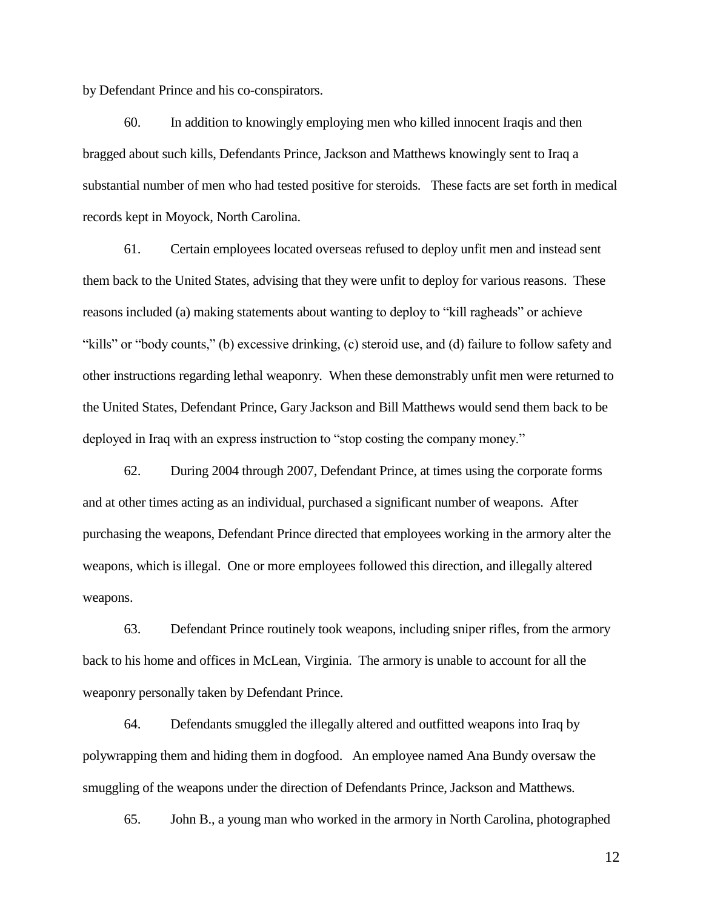by Defendant Prince and his co-conspirators.

60. In addition to knowingly employing men who killed innocent Iraqis and then bragged about such kills, Defendants Prince, Jackson and Matthews knowingly sent to Iraq a substantial number of men who had tested positive for steroids. These facts are set forth in medical records kept in Moyock, North Carolina.

61. Certain employees located overseas refused to deploy unfit men and instead sent them back to the United States, advising that they were unfit to deploy for various reasons. These reasons included (a) making statements about wanting to deploy to "kill ragheads" or achieve "kills" or "body counts," (b) excessive drinking, (c) steroid use, and (d) failure to follow safety and other instructions regarding lethal weaponry. When these demonstrably unfit men were returned to the United States, Defendant Prince, Gary Jackson and Bill Matthews would send them back to be deployed in Iraq with an express instruction to "stop costing the company money."

62. During 2004 through 2007, Defendant Prince, at times using the corporate forms and at other times acting as an individual, purchased a significant number of weapons. After purchasing the weapons, Defendant Prince directed that employees working in the armory alter the weapons, which is illegal. One or more employees followed this direction, and illegally altered weapons.

63. Defendant Prince routinely took weapons, including sniper rifles, from the armory back to his home and offices in McLean, Virginia. The armory is unable to account for all the weaponry personally taken by Defendant Prince.

64. Defendants smuggled the illegally altered and outfitted weapons into Iraq by polywrapping them and hiding them in dogfood. An employee named Ana Bundy oversaw the smuggling of the weapons under the direction of Defendants Prince, Jackson and Matthews.

65. John B., a young man who worked in the armory in North Carolina, photographed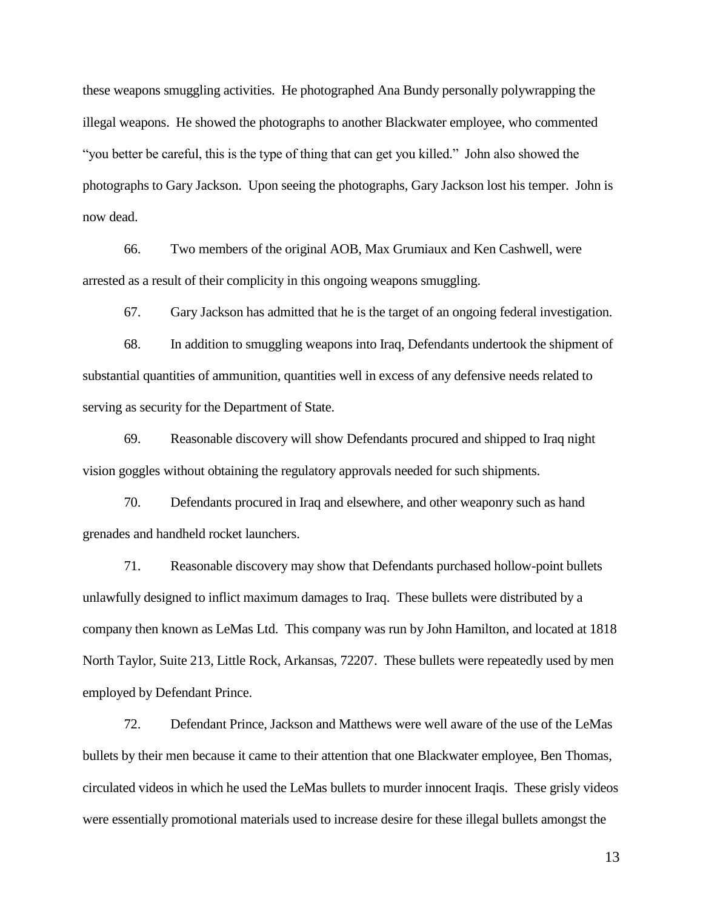these weapons smuggling activities. He photographed Ana Bundy personally polywrapping the illegal weapons. He showed the photographs to another Blackwater employee, who commented "you better be careful, this is the type of thing that can get you killed." John also showed the photographs to Gary Jackson. Upon seeing the photographs, Gary Jackson lost his temper. John is now dead.

66. Two members of the original AOB, Max Grumiaux and Ken Cashwell, were arrested as a result of their complicity in this ongoing weapons smuggling.

67. Gary Jackson has admitted that he is the target of an ongoing federal investigation.

68. In addition to smuggling weapons into Iraq, Defendants undertook the shipment of substantial quantities of ammunition, quantities well in excess of any defensive needs related to serving as security for the Department of State.

69. Reasonable discovery will show Defendants procured and shipped to Iraq night vision goggles without obtaining the regulatory approvals needed for such shipments.

70. Defendants procured in Iraq and elsewhere, and other weaponry such as hand grenades and handheld rocket launchers.

71. Reasonable discovery may show that Defendants purchased hollow-point bullets unlawfully designed to inflict maximum damages to Iraq. These bullets were distributed by a company then known as LeMas Ltd. This company was run by John Hamilton, and located at 1818 North Taylor, Suite 213, Little Rock, Arkansas, 72207. These bullets were repeatedly used by men employed by Defendant Prince.

72. Defendant Prince, Jackson and Matthews were well aware of the use of the LeMas bullets by their men because it came to their attention that one Blackwater employee, Ben Thomas, circulated videos in which he used the LeMas bullets to murder innocent Iraqis. These grisly videos were essentially promotional materials used to increase desire for these illegal bullets amongst the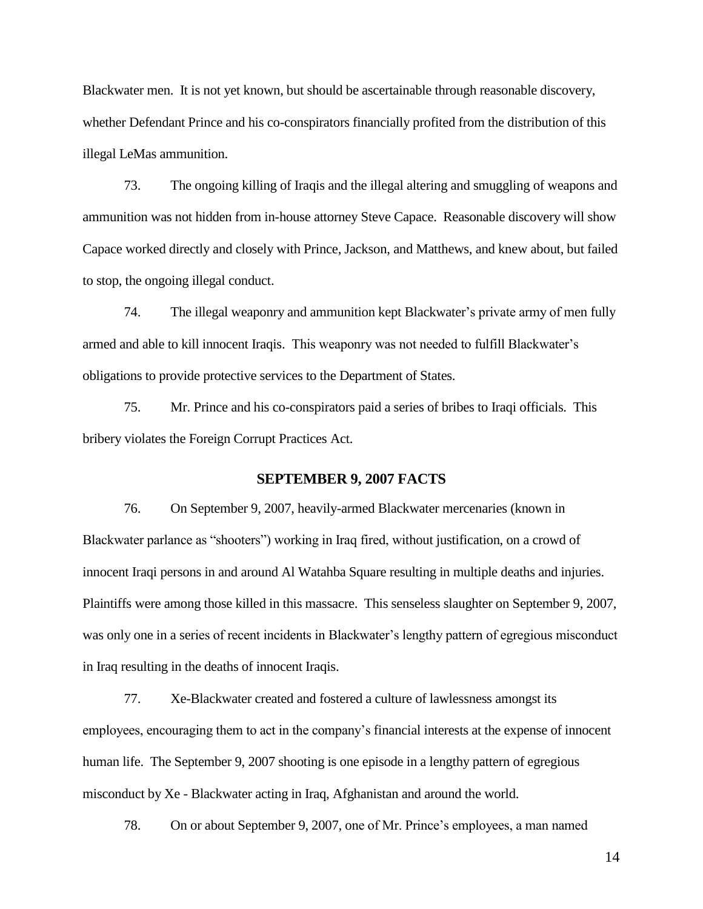Blackwater men. It is not yet known, but should be ascertainable through reasonable discovery, whether Defendant Prince and his co-conspirators financially profited from the distribution of this illegal LeMas ammunition.

73. The ongoing killing of Iraqis and the illegal altering and smuggling of weapons and ammunition was not hidden from in-house attorney Steve Capace. Reasonable discovery will show Capace worked directly and closely with Prince, Jackson, and Matthews, and knew about, but failed to stop, the ongoing illegal conduct.

74. The illegal weaponry and ammunition kept Blackwater's private army of men fully armed and able to kill innocent Iraqis. This weaponry was not needed to fulfill Blackwater's obligations to provide protective services to the Department of States.

75. Mr. Prince and his co-conspirators paid a series of bribes to Iraqi officials. This bribery violates the Foreign Corrupt Practices Act.

#### **SEPTEMBER 9, 2007 FACTS**

76. On September 9, 2007, heavily-armed Blackwater mercenaries (known in Blackwater parlance as "shooters") working in Iraq fired, without justification, on a crowd of innocent Iraqi persons in and around Al Watahba Square resulting in multiple deaths and injuries. Plaintiffs were among those killed in this massacre. This senseless slaughter on September 9, 2007, was only one in a series of recent incidents in Blackwater's lengthy pattern of egregious misconduct in Iraq resulting in the deaths of innocent Iraqis.

77. Xe-Blackwater created and fostered a culture of lawlessness amongst its employees, encouraging them to act in the company's financial interests at the expense of innocent human life. The September 9, 2007 shooting is one episode in a lengthy pattern of egregious misconduct by Xe - Blackwater acting in Iraq, Afghanistan and around the world.

78. On or about September 9, 2007, one of Mr. Prince's employees, a man named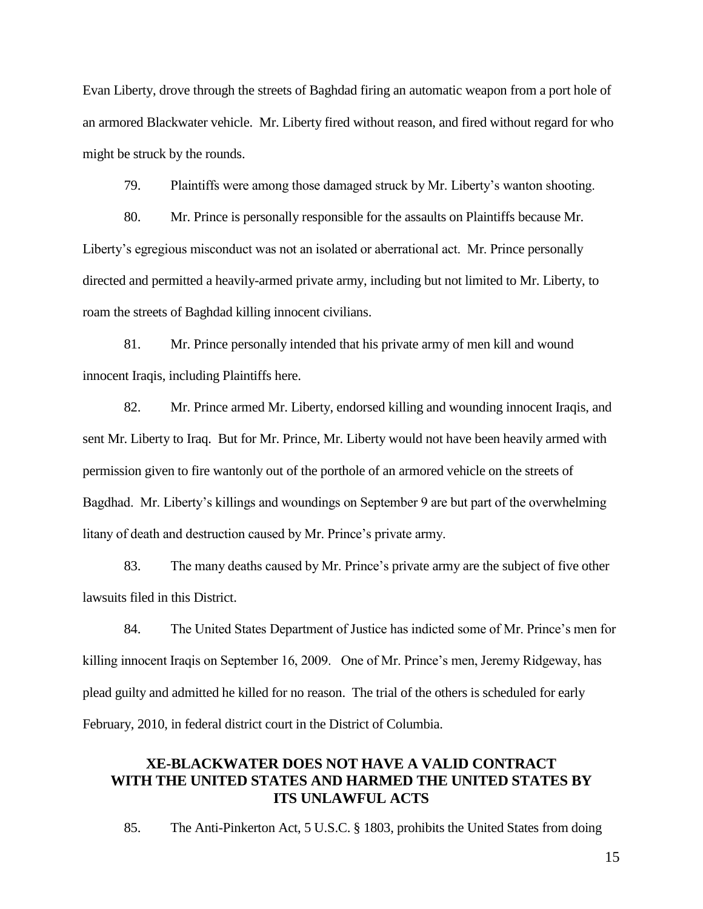Evan Liberty, drove through the streets of Baghdad firing an automatic weapon from a port hole of an armored Blackwater vehicle. Mr. Liberty fired without reason, and fired without regard for who might be struck by the rounds.

79. Plaintiffs were among those damaged struck by Mr. Liberty's wanton shooting.

80. Mr. Prince is personally responsible for the assaults on Plaintiffs because Mr. Liberty's egregious misconduct was not an isolated or aberrational act. Mr. Prince personally directed and permitted a heavily-armed private army, including but not limited to Mr. Liberty, to roam the streets of Baghdad killing innocent civilians.

81. Mr. Prince personally intended that his private army of men kill and wound innocent Iraqis, including Plaintiffs here.

82. Mr. Prince armed Mr. Liberty, endorsed killing and wounding innocent Iraqis, and sent Mr. Liberty to Iraq. But for Mr. Prince, Mr. Liberty would not have been heavily armed with permission given to fire wantonly out of the porthole of an armored vehicle on the streets of Bagdhad. Mr. Liberty's killings and woundings on September 9 are but part of the overwhelming litany of death and destruction caused by Mr. Prince's private army.

83. The many deaths caused by Mr. Prince's private army are the subject of five other lawsuits filed in this District.

84. The United States Department of Justice has indicted some of Mr. Prince's men for killing innocent Iraqis on September 16, 2009. One of Mr. Prince's men, Jeremy Ridgeway, has plead guilty and admitted he killed for no reason. The trial of the others is scheduled for early February, 2010, in federal district court in the District of Columbia.

# **XE-BLACKWATER DOES NOT HAVE A VALID CONTRACT WITH THE UNITED STATES AND HARMED THE UNITED STATES BY ITS UNLAWFUL ACTS**

85. The Anti-Pinkerton Act, 5 U.S.C. § 1803, prohibits the United States from doing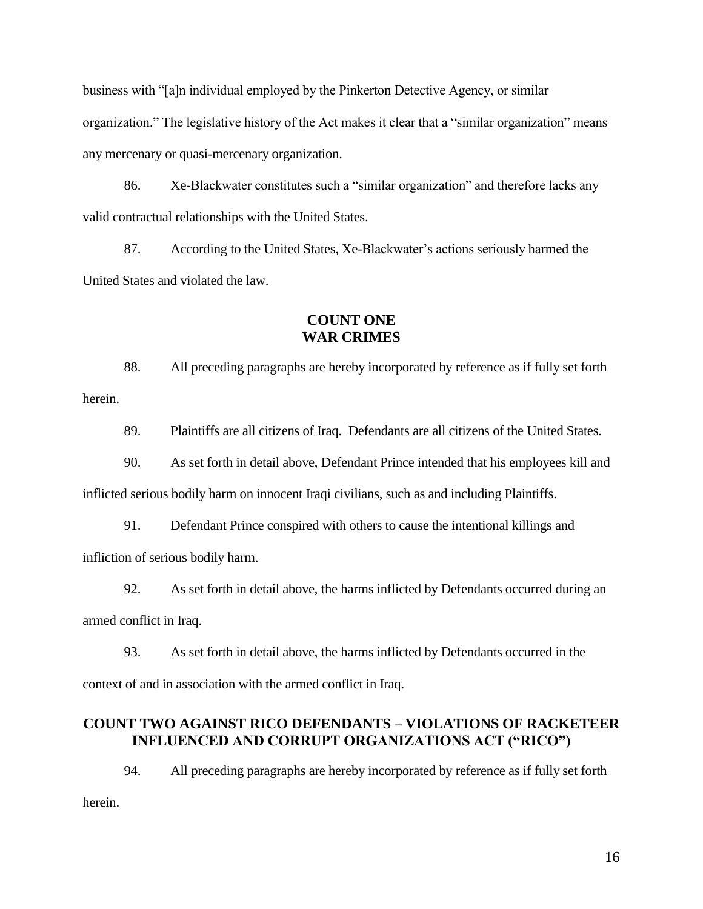business with "[a]n individual employed by the Pinkerton Detective Agency, or similar organization." The legislative history of the Act makes it clear that a "similar organization" means any mercenary or quasi-mercenary organization.

86. Xe-Blackwater constitutes such a "similar organization" and therefore lacks any valid contractual relationships with the United States.

87. According to the United States, Xe-Blackwater's actions seriously harmed the United States and violated the law.

## **COUNT ONE WAR CRIMES**

88. All preceding paragraphs are hereby incorporated by reference as if fully set forth herein.

89. Plaintiffs are all citizens of Iraq. Defendants are all citizens of the United States.

90. As set forth in detail above, Defendant Prince intended that his employees kill and

inflicted serious bodily harm on innocent Iraqi civilians, such as and including Plaintiffs.

91. Defendant Prince conspired with others to cause the intentional killings and infliction of serious bodily harm.

92. As set forth in detail above, the harms inflicted by Defendants occurred during an armed conflict in Iraq.

93. As set forth in detail above, the harms inflicted by Defendants occurred in the context of and in association with the armed conflict in Iraq.

## **COUNT TWO AGAINST RICO DEFENDANTS – VIOLATIONS OF RACKETEER INFLUENCED AND CORRUPT ORGANIZATIONS ACT ("RICO")**

94. All preceding paragraphs are hereby incorporated by reference as if fully set forth herein.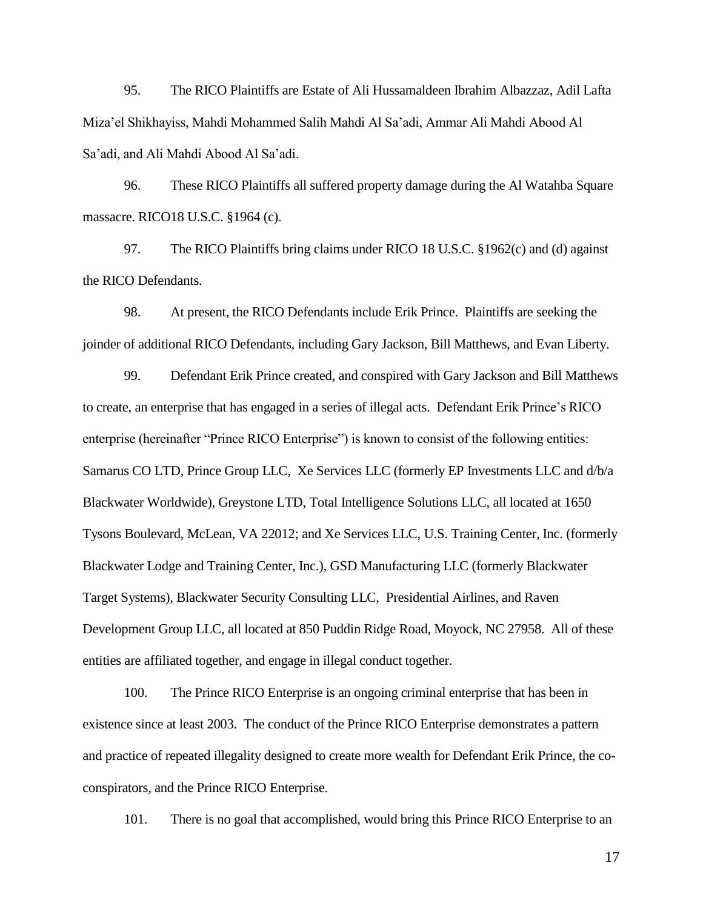95. The RICO Plaintiffs are Estate of Ali Hussamaldeen Ibrahim Albazzaz, Adil Lafta Miza'el Shikhayiss, Mahdi Mohammed Salih Mahdi Al Sa'adi, Ammar Ali Mahdi Abood Al Sa'adi, and Ali Mahdi Abood Al Sa'adi.

96. These RICO Plaintiffs all suffered property damage during the Al Watahba Square massacre. RICO18 U.S.C. §1964 (c).

97. The RICO Plaintiffs bring claims under RICO 18 U.S.C. §1962(c) and (d) against the RICO Defendants.

98. At present, the RICO Defendants include Erik Prince. Plaintiffs are seeking the joinder of additional RICO Defendants, including Gary Jackson, Bill Matthews, and Evan Liberty.

99. Defendant Erik Prince created, and conspired with Gary Jackson and Bill Matthews to create, an enterprise that has engaged in a series of illegal acts. Defendant Erik Prince's RICO enterprise (hereinafter "Prince RICO Enterprise") is known to consist of the following entities: Samarus CO LTD, Prince Group LLC, Xe Services LLC (formerly EP Investments LLC and d/b/a Blackwater Worldwide), Greystone LTD, Total Intelligence Solutions LLC, all located at 1650 Tysons Boulevard, McLean, VA 22012; and Xe Services LLC, U.S. Training Center, Inc. (formerly Blackwater Lodge and Training Center, Inc.), GSD Manufacturing LLC (formerly Blackwater Target Systems), Blackwater Security Consulting LLC, Presidential Airlines, and Raven Development Group LLC, all located at 850 Puddin Ridge Road, Moyock, NC 27958. All of these entities are affiliated together, and engage in illegal conduct together.

100. The Prince RICO Enterprise is an ongoing criminal enterprise that has been in existence since at least 2003. The conduct of the Prince RICO Enterprise demonstrates a pattern and practice of repeated illegality designed to create more wealth for Defendant Erik Prince, the coconspirators, and the Prince RICO Enterprise.

101. There is no goal that accomplished, would bring this Prince RICO Enterprise to an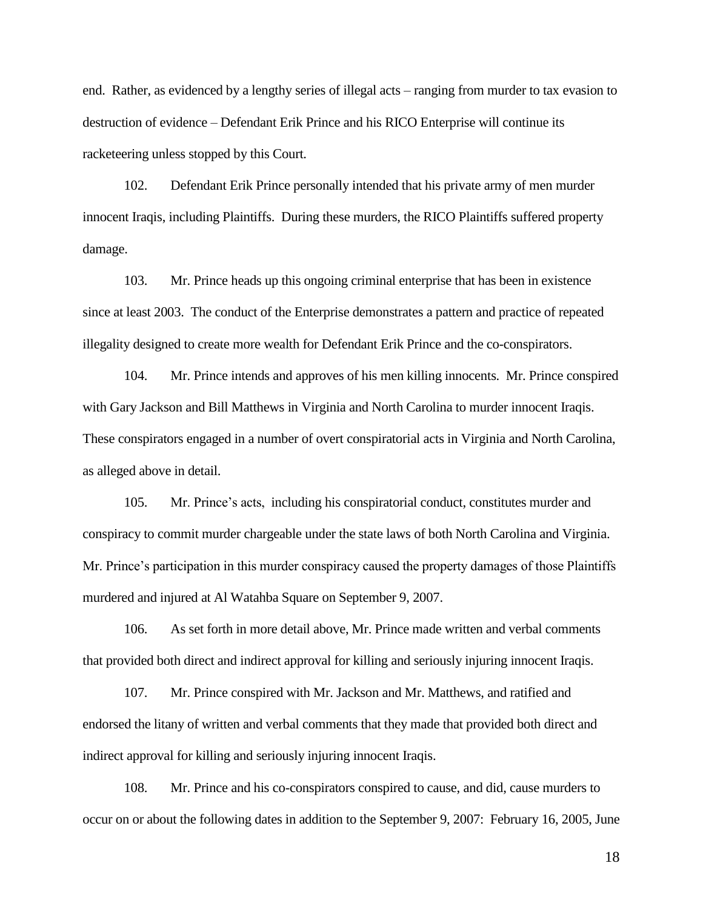end. Rather, as evidenced by a lengthy series of illegal acts – ranging from murder to tax evasion to destruction of evidence – Defendant Erik Prince and his RICO Enterprise will continue its racketeering unless stopped by this Court.

102. Defendant Erik Prince personally intended that his private army of men murder innocent Iraqis, including Plaintiffs. During these murders, the RICO Plaintiffs suffered property damage.

103. Mr. Prince heads up this ongoing criminal enterprise that has been in existence since at least 2003. The conduct of the Enterprise demonstrates a pattern and practice of repeated illegality designed to create more wealth for Defendant Erik Prince and the co-conspirators.

104. Mr. Prince intends and approves of his men killing innocents. Mr. Prince conspired with Gary Jackson and Bill Matthews in Virginia and North Carolina to murder innocent Iraqis. These conspirators engaged in a number of overt conspiratorial acts in Virginia and North Carolina, as alleged above in detail.

105. Mr. Prince's acts, including his conspiratorial conduct, constitutes murder and conspiracy to commit murder chargeable under the state laws of both North Carolina and Virginia. Mr. Prince's participation in this murder conspiracy caused the property damages of those Plaintiffs murdered and injured at Al Watahba Square on September 9, 2007.

106. As set forth in more detail above, Mr. Prince made written and verbal comments that provided both direct and indirect approval for killing and seriously injuring innocent Iraqis.

107. Mr. Prince conspired with Mr. Jackson and Mr. Matthews, and ratified and endorsed the litany of written and verbal comments that they made that provided both direct and indirect approval for killing and seriously injuring innocent Iraqis.

108. Mr. Prince and his co-conspirators conspired to cause, and did, cause murders to occur on or about the following dates in addition to the September 9, 2007: February 16, 2005, June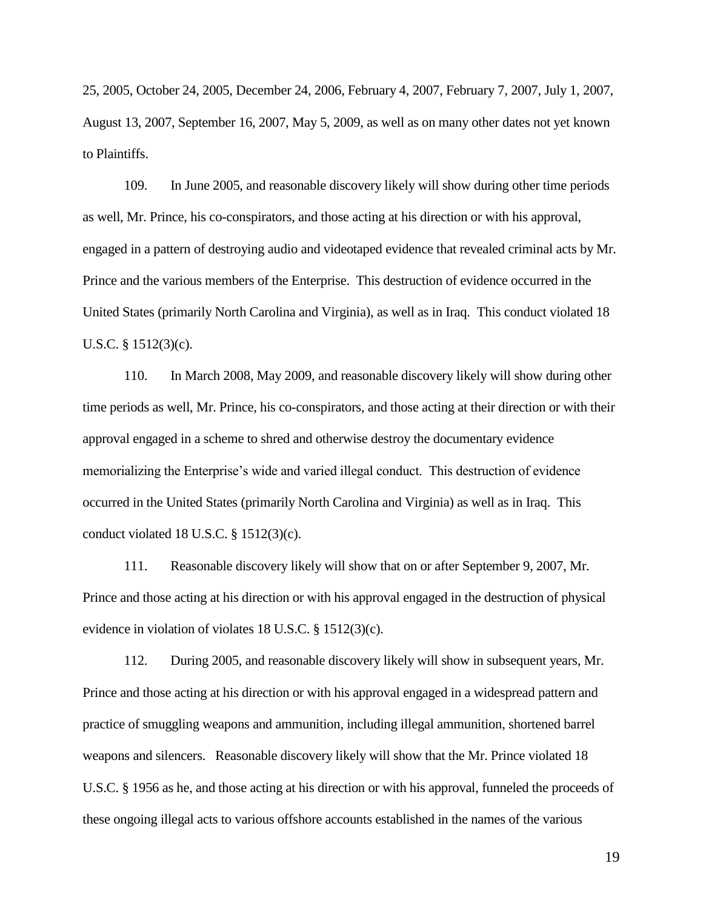25, 2005, October 24, 2005, December 24, 2006, February 4, 2007, February 7, 2007, July 1, 2007, August 13, 2007, September 16, 2007, May 5, 2009, as well as on many other dates not yet known to Plaintiffs.

109. In June 2005, and reasonable discovery likely will show during other time periods as well, Mr. Prince, his co-conspirators, and those acting at his direction or with his approval, engaged in a pattern of destroying audio and videotaped evidence that revealed criminal acts by Mr. Prince and the various members of the Enterprise. This destruction of evidence occurred in the United States (primarily North Carolina and Virginia), as well as in Iraq. This conduct violated 18 U.S.C. § 1512(3)(c).

110. In March 2008, May 2009, and reasonable discovery likely will show during other time periods as well, Mr. Prince, his co-conspirators, and those acting at their direction or with their approval engaged in a scheme to shred and otherwise destroy the documentary evidence memorializing the Enterprise's wide and varied illegal conduct. This destruction of evidence occurred in the United States (primarily North Carolina and Virginia) as well as in Iraq. This conduct violated 18 U.S.C.  $\S$  1512(3)(c).

111. Reasonable discovery likely will show that on or after September 9, 2007, Mr. Prince and those acting at his direction or with his approval engaged in the destruction of physical evidence in violation of violates 18 U.S.C. § 1512(3)(c).

112. During 2005, and reasonable discovery likely will show in subsequent years, Mr. Prince and those acting at his direction or with his approval engaged in a widespread pattern and practice of smuggling weapons and ammunition, including illegal ammunition, shortened barrel weapons and silencers. Reasonable discovery likely will show that the Mr. Prince violated 18 U.S.C. § 1956 as he, and those acting at his direction or with his approval, funneled the proceeds of these ongoing illegal acts to various offshore accounts established in the names of the various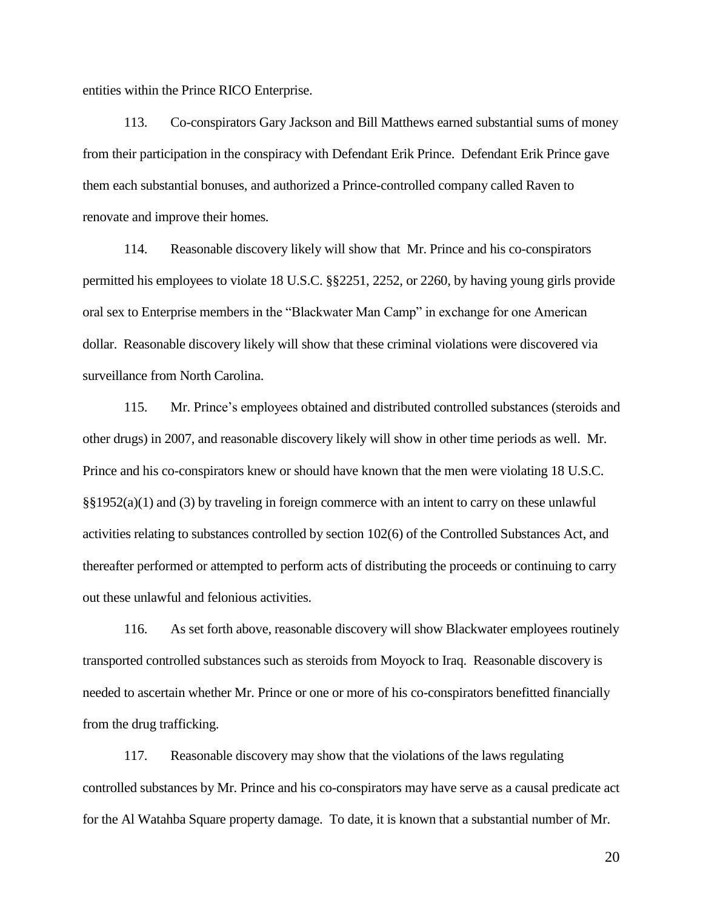entities within the Prince RICO Enterprise.

113. Co-conspirators Gary Jackson and Bill Matthews earned substantial sums of money from their participation in the conspiracy with Defendant Erik Prince. Defendant Erik Prince gave them each substantial bonuses, and authorized a Prince-controlled company called Raven to renovate and improve their homes.

114. Reasonable discovery likely will show that Mr. Prince and his co-conspirators permitted his employees to violate 18 U.S.C. §§2251, 2252, or 2260, by having young girls provide oral sex to Enterprise members in the "Blackwater Man Camp" in exchange for one American dollar. Reasonable discovery likely will show that these criminal violations were discovered via surveillance from North Carolina.

115. Mr. Prince's employees obtained and distributed controlled substances (steroids and other drugs) in 2007, and reasonable discovery likely will show in other time periods as well. Mr. Prince and his co-conspirators knew or should have known that the men were violating 18 U.S.C. §§1952(a)(1) and (3) by traveling in foreign commerce with an intent to carry on these unlawful activities relating to substances controlled by section 102(6) of the Controlled Substances Act, and thereafter performed or attempted to perform acts of distributing the proceeds or continuing to carry out these unlawful and felonious activities.

116. As set forth above, reasonable discovery will show Blackwater employees routinely transported controlled substances such as steroids from Moyock to Iraq. Reasonable discovery is needed to ascertain whether Mr. Prince or one or more of his co-conspirators benefitted financially from the drug trafficking.

117. Reasonable discovery may show that the violations of the laws regulating controlled substances by Mr. Prince and his co-conspirators may have serve as a causal predicate act for the Al Watahba Square property damage. To date, it is known that a substantial number of Mr.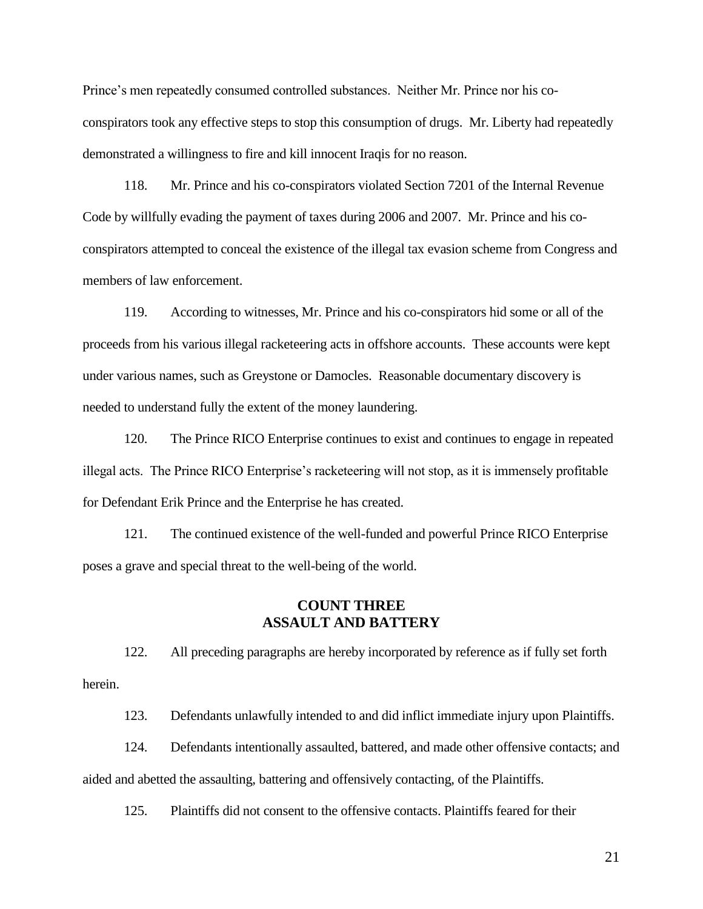Prince's men repeatedly consumed controlled substances. Neither Mr. Prince nor his coconspirators took any effective steps to stop this consumption of drugs. Mr. Liberty had repeatedly demonstrated a willingness to fire and kill innocent Iraqis for no reason.

118. Mr. Prince and his co-conspirators violated Section 7201 of the Internal Revenue Code by willfully evading the payment of taxes during 2006 and 2007. Mr. Prince and his coconspirators attempted to conceal the existence of the illegal tax evasion scheme from Congress and members of law enforcement.

119. According to witnesses, Mr. Prince and his co-conspirators hid some or all of the proceeds from his various illegal racketeering acts in offshore accounts. These accounts were kept under various names, such as Greystone or Damocles. Reasonable documentary discovery is needed to understand fully the extent of the money laundering.

120. The Prince RICO Enterprise continues to exist and continues to engage in repeated illegal acts. The Prince RICO Enterprise's racketeering will not stop, as it is immensely profitable for Defendant Erik Prince and the Enterprise he has created.

121. The continued existence of the well-funded and powerful Prince RICO Enterprise poses a grave and special threat to the well-being of the world.

## **COUNT THREE ASSAULT AND BATTERY**

122. All preceding paragraphs are hereby incorporated by reference as if fully set forth herein.

123. Defendants unlawfully intended to and did inflict immediate injury upon Plaintiffs.

124. Defendants intentionally assaulted, battered, and made other offensive contacts; and aided and abetted the assaulting, battering and offensively contacting, of the Plaintiffs.

125. Plaintiffs did not consent to the offensive contacts. Plaintiffs feared for their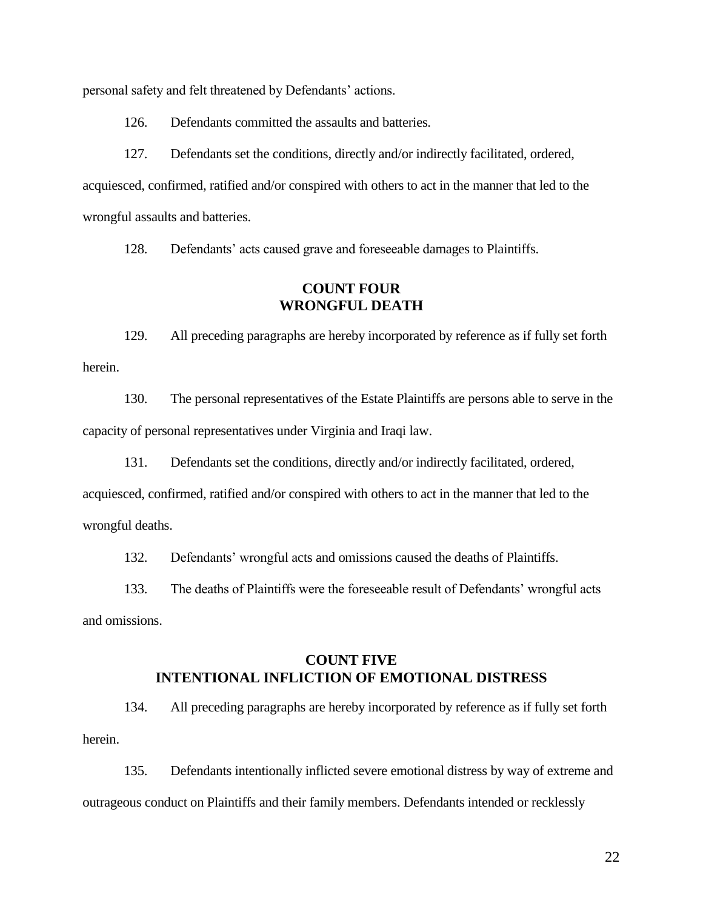personal safety and felt threatened by Defendants' actions.

126. Defendants committed the assaults and batteries.

127. Defendants set the conditions, directly and/or indirectly facilitated, ordered, acquiesced, confirmed, ratified and/or conspired with others to act in the manner that led to the wrongful assaults and batteries.

128. Defendants' acts caused grave and foreseeable damages to Plaintiffs.

### **COUNT FOUR WRONGFUL DEATH**

129. All preceding paragraphs are hereby incorporated by reference as if fully set forth herein.

130. The personal representatives of the Estate Plaintiffs are persons able to serve in the capacity of personal representatives under Virginia and Iraqi law.

131. Defendants set the conditions, directly and/or indirectly facilitated, ordered,

acquiesced, confirmed, ratified and/or conspired with others to act in the manner that led to the wrongful deaths.

132. Defendants' wrongful acts and omissions caused the deaths of Plaintiffs.

133. The deaths of Plaintiffs were the foreseeable result of Defendants' wrongful acts and omissions.

## **COUNT FIVE INTENTIONAL INFLICTION OF EMOTIONAL DISTRESS**

134. All preceding paragraphs are hereby incorporated by reference as if fully set forth herein.

135. Defendants intentionally inflicted severe emotional distress by way of extreme and outrageous conduct on Plaintiffs and their family members. Defendants intended or recklessly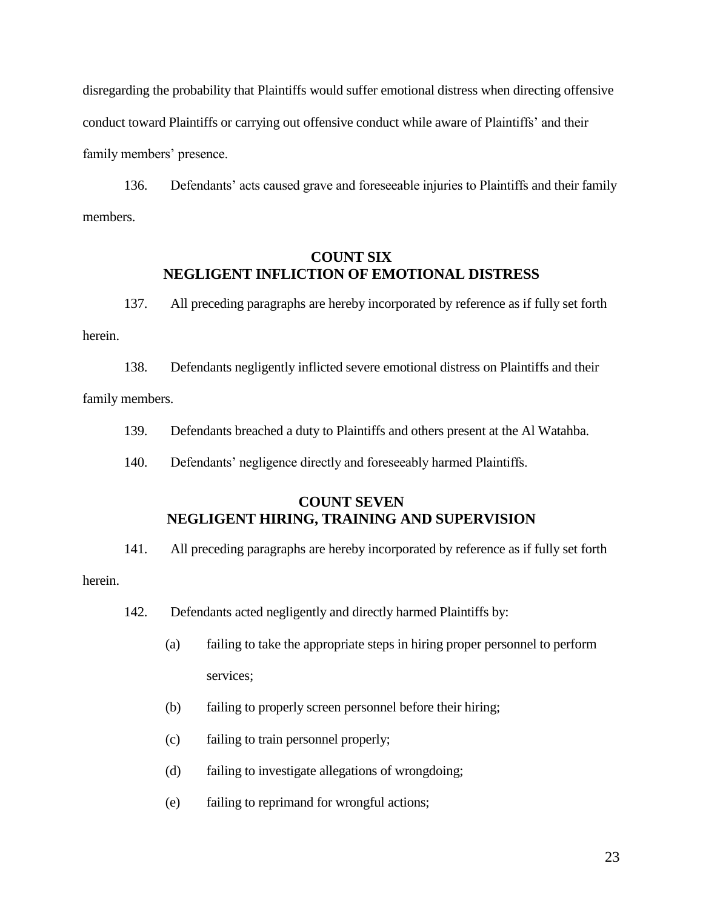disregarding the probability that Plaintiffs would suffer emotional distress when directing offensive conduct toward Plaintiffs or carrying out offensive conduct while aware of Plaintiffs' and their family members' presence.

136. Defendants' acts caused grave and foreseeable injuries to Plaintiffs and their family members.

# **COUNT SIX NEGLIGENT INFLICTION OF EMOTIONAL DISTRESS**

137. All preceding paragraphs are hereby incorporated by reference as if fully set forth herein.

138. Defendants negligently inflicted severe emotional distress on Plaintiffs and their family members.

- 139. Defendants breached a duty to Plaintiffs and others present at the Al Watahba.
- 140. Defendants' negligence directly and foreseeably harmed Plaintiffs.

# **COUNT SEVEN NEGLIGENT HIRING, TRAINING AND SUPERVISION**

141. All preceding paragraphs are hereby incorporated by reference as if fully set forth

herein.

- 142. Defendants acted negligently and directly harmed Plaintiffs by:
	- (a) failing to take the appropriate steps in hiring proper personnel to perform services;
	- (b) failing to properly screen personnel before their hiring;
	- (c) failing to train personnel properly;
	- (d) failing to investigate allegations of wrongdoing;
	- (e) failing to reprimand for wrongful actions;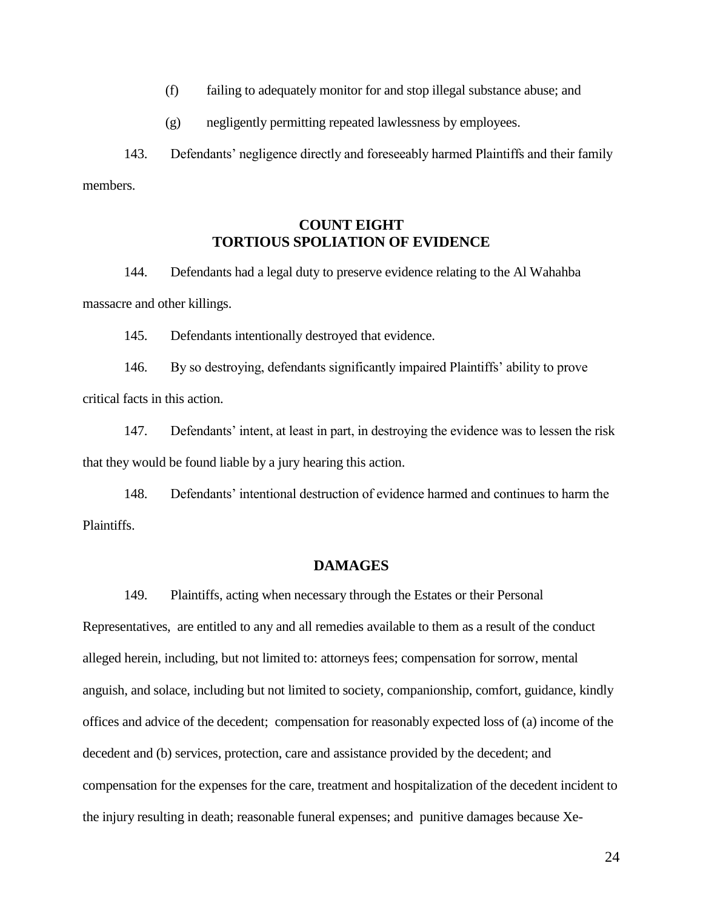- (f) failing to adequately monitor for and stop illegal substance abuse; and
- (g) negligently permitting repeated lawlessness by employees.

143. Defendants' negligence directly and foreseeably harmed Plaintiffs and their family members.

# **COUNT EIGHT TORTIOUS SPOLIATION OF EVIDENCE**

144. Defendants had a legal duty to preserve evidence relating to the Al Wahahba massacre and other killings.

145. Defendants intentionally destroyed that evidence.

146. By so destroying, defendants significantly impaired Plaintiffs' ability to prove critical facts in this action.

147. Defendants' intent, at least in part, in destroying the evidence was to lessen the risk that they would be found liable by a jury hearing this action.

148. Defendants' intentional destruction of evidence harmed and continues to harm the Plaintiffs.

#### **DAMAGES**

149. Plaintiffs, acting when necessary through the Estates or their Personal

Representatives, are entitled to any and all remedies available to them as a result of the conduct alleged herein, including, but not limited to: attorneys fees; compensation for sorrow, mental anguish, and solace, including but not limited to society, companionship, comfort, guidance, kindly offices and advice of the decedent; compensation for reasonably expected loss of (a) income of the decedent and (b) services, protection, care and assistance provided by the decedent; and compensation for the expenses for the care, treatment and hospitalization of the decedent incident to the injury resulting in death; reasonable funeral expenses; and punitive damages because Xe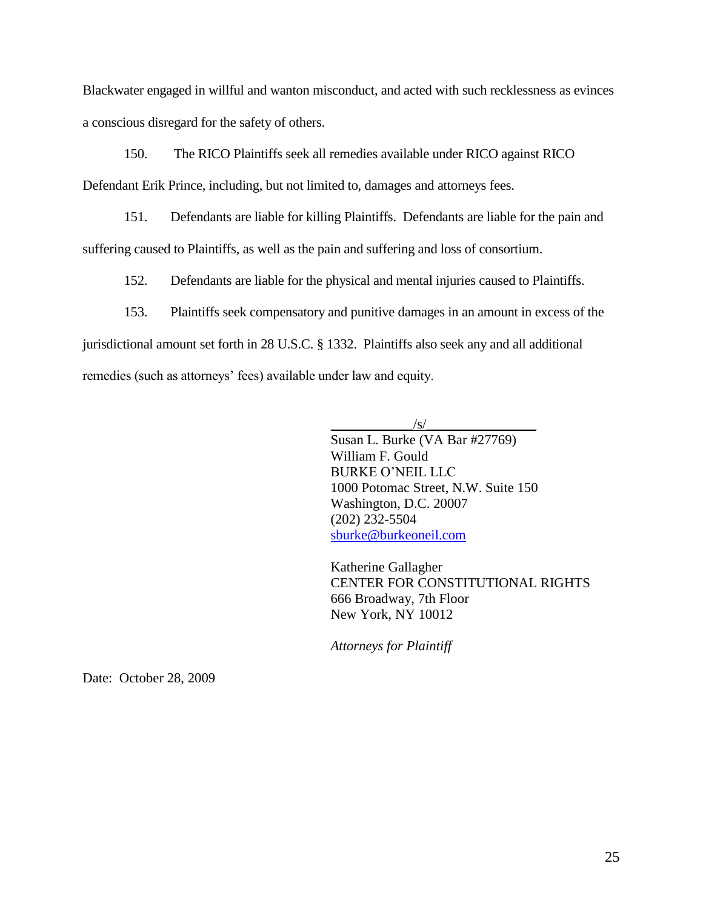Blackwater engaged in willful and wanton misconduct, and acted with such recklessness as evinces a conscious disregard for the safety of others.

150. The RICO Plaintiffs seek all remedies available under RICO against RICO

Defendant Erik Prince, including, but not limited to, damages and attorneys fees.

151. Defendants are liable for killing Plaintiffs. Defendants are liable for the pain and suffering caused to Plaintiffs, as well as the pain and suffering and loss of consortium.

152. Defendants are liable for the physical and mental injuries caused to Plaintiffs.

153. Plaintiffs seek compensatory and punitive damages in an amount in excess of the jurisdictional amount set forth in 28 U.S.C. § 1332. Plaintiffs also seek any and all additional remedies (such as attorneys' fees) available under law and equity.

 $/S/$ 

Susan L. Burke (VA Bar #27769) William F. Gould BURKE O'NEIL LLC 1000 Potomac Street, N.W. Suite 150 Washington, D.C. 20007 (202) 232-5504 [sburke@burkeoneil.com](mailto:sburke@burkeoneil.com)

Katherine Gallagher CENTER FOR CONSTITUTIONAL RIGHTS 666 Broadway, 7th Floor New York, NY 10012

*Attorneys for Plaintiff*

Date: October 28, 2009